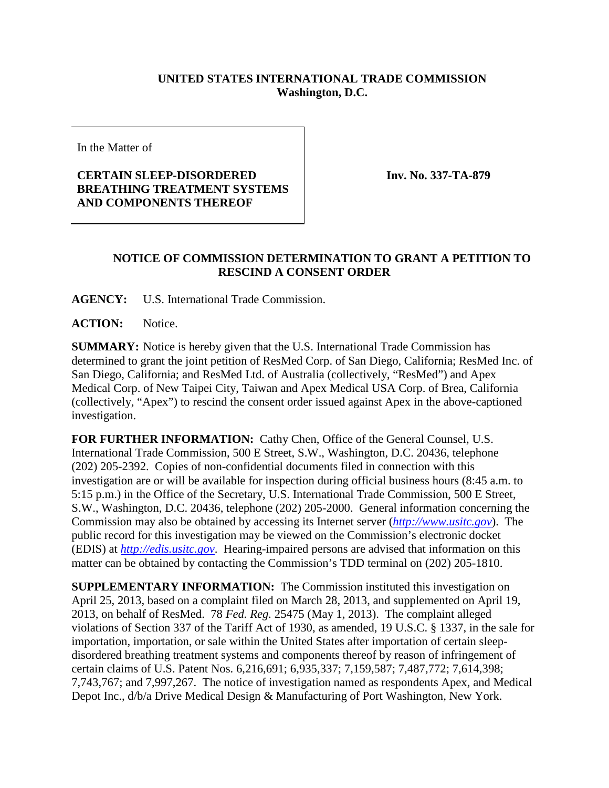## **UNITED STATES INTERNATIONAL TRADE COMMISSION Washington, D.C.**

In the Matter of

## **CERTAIN SLEEP-DISORDERED BREATHING TREATMENT SYSTEMS AND COMPONENTS THEREOF**

**Inv. No. 337-TA-879**

## **NOTICE OF COMMISSION DETERMINATION TO GRANT A PETITION TO RESCIND A CONSENT ORDER**

**AGENCY:** U.S. International Trade Commission.

**ACTION:** Notice.

**SUMMARY:** Notice is hereby given that the U.S. International Trade Commission has determined to grant the joint petition of ResMed Corp. of San Diego, California; ResMed Inc. of San Diego, California; and ResMed Ltd. of Australia (collectively, "ResMed") and Apex Medical Corp. of New Taipei City, Taiwan and Apex Medical USA Corp. of Brea, California (collectively, "Apex") to rescind the consent order issued against Apex in the above-captioned investigation.

**FOR FURTHER INFORMATION:** Cathy Chen, Office of the General Counsel, U.S. International Trade Commission, 500 E Street, S.W., Washington, D.C. 20436, telephone (202) 205-2392. Copies of non-confidential documents filed in connection with this investigation are or will be available for inspection during official business hours (8:45 a.m. to 5:15 p.m.) in the Office of the Secretary, U.S. International Trade Commission, 500 E Street, S.W., Washington, D.C. 20436, telephone (202) 205-2000. General information concerning the Commission may also be obtained by accessing its Internet server (*[http://www.usitc.gov](http://www.usitc.gov/)*). The public record for this investigation may be viewed on the Commission's electronic docket (EDIS) at *[http://edis.usitc.gov](http://edis.usitc.gov/)*. Hearing-impaired persons are advised that information on this matter can be obtained by contacting the Commission's TDD terminal on (202) 205-1810.

**SUPPLEMENTARY INFORMATION:** The Commission instituted this investigation on April 25, 2013, based on a complaint filed on March 28, 2013, and supplemented on April 19, 2013, on behalf of ResMed. 78 *Fed. Reg.* 25475 (May 1, 2013). The complaint alleged violations of Section 337 of the Tariff Act of 1930, as amended, 19 U.S.C. § 1337, in the sale for importation, importation, or sale within the United States after importation of certain sleepdisordered breathing treatment systems and components thereof by reason of infringement of certain claims of U.S. Patent Nos. 6,216,691; 6,935,337; 7,159,587; 7,487,772; 7,614,398; 7,743,767; and 7,997,267. The notice of investigation named as respondents Apex, and Medical Depot Inc., d/b/a Drive Medical Design & Manufacturing of Port Washington, New York.